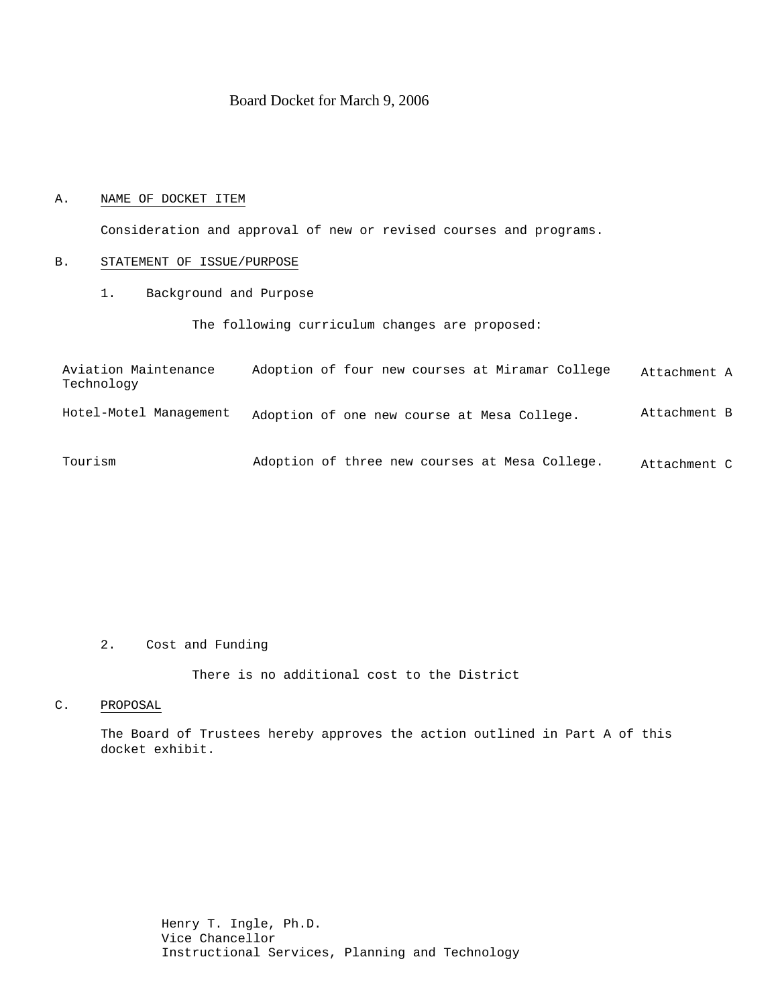# Board Docket for March 9, 2006

# A. NAME OF DOCKET ITEM

Consideration and approval of new or revised courses and programs.

# B. STATEMENT OF ISSUE/PURPOSE

1. Background and Purpose

The following curriculum changes are proposed:

| Aviation Maintenance<br>Technology | Adoption of four new courses at Miramar College | Attachment A |
|------------------------------------|-------------------------------------------------|--------------|
| Hotel-Motel Management             | Adoption of one new course at Mesa College.     | Attachment B |
| Tourism                            | Adoption of three new courses at Mesa College.  | Attachment C |

#### 2. Cost and Funding

There is no additional cost to the District

# C. PROPOSAL

The Board of Trustees hereby approves the action outlined in Part A of this docket exhibit.

> Henry T. Ingle, Ph.D. Vice Chancellor Instructional Services, Planning and Technology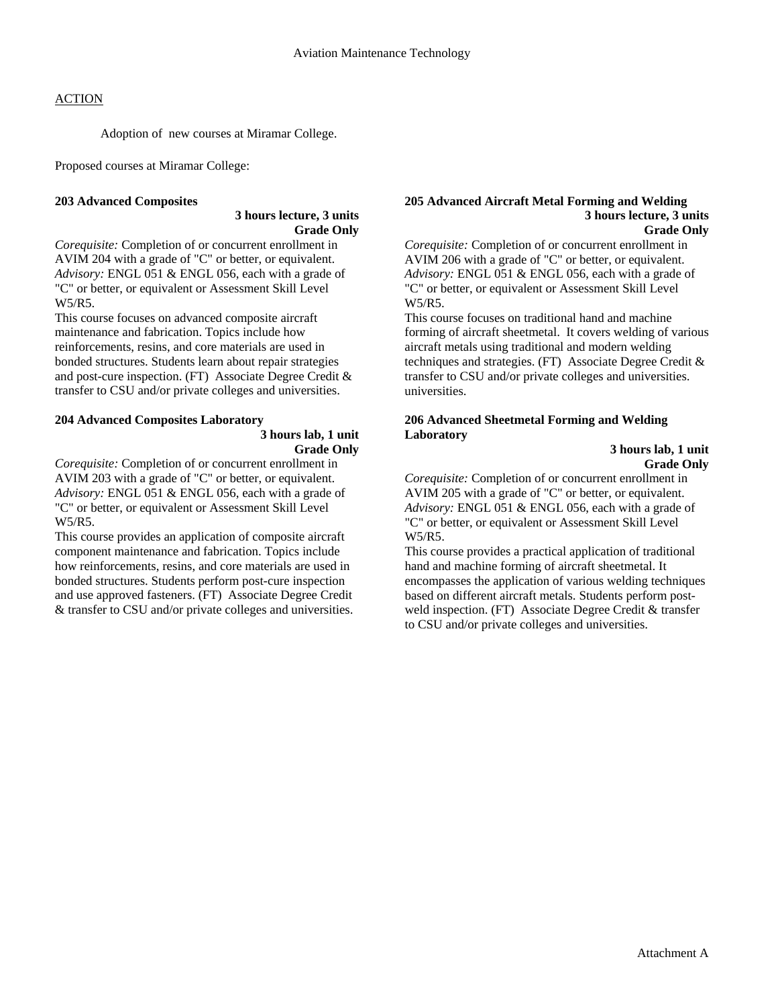# **ACTION**

Adoption of new courses at Miramar College.

Proposed courses at Miramar College:

# **203 Advanced Composites**

# **3 hours lecture, 3 units Grade Only**

*Corequisite:* Completion of or concurrent enrollment in AVIM 204 with a grade of "C" or better, or equivalent. *Advisory:* ENGL 051 & ENGL 056, each with a grade of "C" or better, or equivalent or Assessment Skill Level W5/R5.

This course focuses on advanced composite aircraft maintenance and fabrication. Topics include how reinforcements, resins, and core materials are used in bonded structures. Students learn about repair strategies and post-cure inspection. (FT) Associate Degree Credit & transfer to CSU and/or private colleges and universities.

# **204 Advanced Composites Laboratory**

 **3 hours lab, 1 unit Grade Only** 

*Corequisite:* Completion of or concurrent enrollment in AVIM 203 with a grade of "C" or better, or equivalent. *Advisory:* ENGL 051 & ENGL 056, each with a grade of "C" or better, or equivalent or Assessment Skill Level W5/R5.

This course provides an application of composite aircraft component maintenance and fabrication. Topics include how reinforcements, resins, and core materials are used in bonded structures. Students perform post-cure inspection and use approved fasteners. (FT) Associate Degree Credit & transfer to CSU and/or private colleges and universities.

#### **205 Advanced Aircraft Metal Forming and Welding 3 hours lecture, 3 units Grade Only**

*Corequisite:* Completion of or concurrent enrollment in AVIM 206 with a grade of "C" or better, or equivalent. *Advisory:* ENGL 051 & ENGL 056, each with a grade of "C" or better, or equivalent or Assessment Skill Level W5/R5.

This course focuses on traditional hand and machine forming of aircraft sheetmetal. It covers welding of various aircraft metals using traditional and modern welding techniques and strategies. (FT) Associate Degree Credit & transfer to CSU and/or private colleges and universities. universities.

# **206 Advanced Sheetmetal Forming and Welding Laboratory**

 **3 hours lab, 1 unit Grade Only** 

*Corequisite:* Completion of or concurrent enrollment in AVIM 205 with a grade of "C" or better, or equivalent. *Advisory:* ENGL 051 & ENGL 056, each with a grade of "C" or better, or equivalent or Assessment Skill Level W5/R5.

This course provides a practical application of traditional hand and machine forming of aircraft sheetmetal. It encompasses the application of various welding techniques based on different aircraft metals. Students perform postweld inspection. (FT) Associate Degree Credit & transfer to CSU and/or private colleges and universities.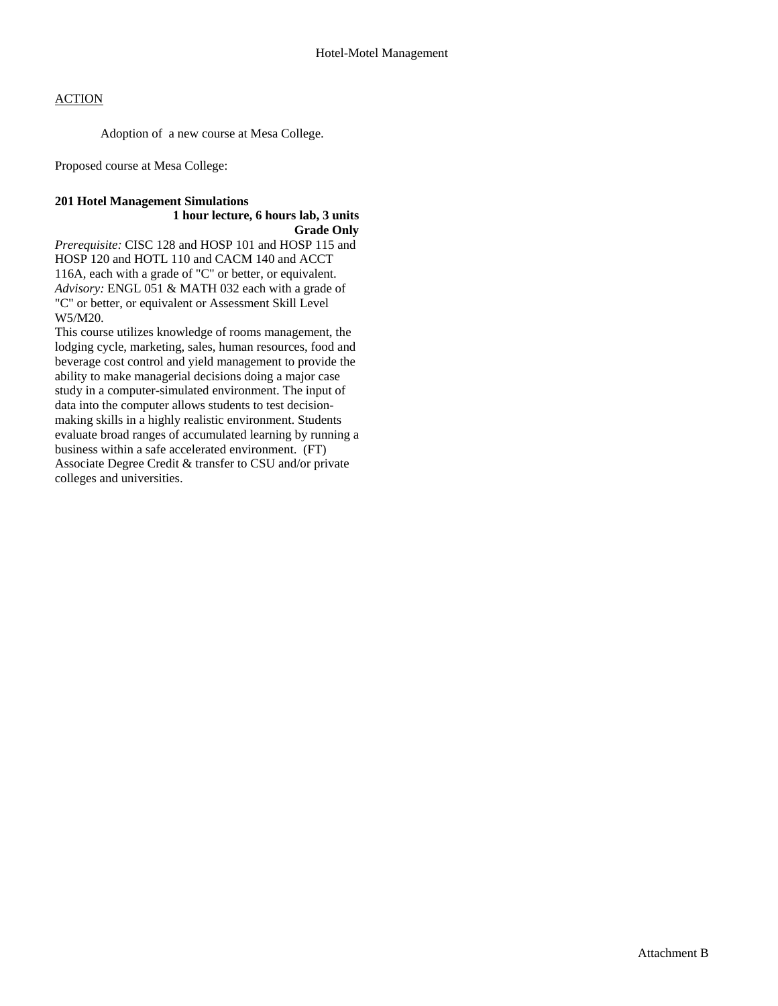# **ACTION**

Adoption of a new course at Mesa College.

Proposed course at Mesa College:

# **201 Hotel Management Simulations**

# **1 hour lecture, 6 hours lab, 3 units Grade Only**

*Prerequisite:* CISC 128 and HOSP 101 and HOSP 115 and HOSP 120 and HOTL 110 and CACM 140 and ACCT 116A, each with a grade of "C" or better, or equivalent. *Advisory:* ENGL 051 & MATH 032 each with a grade of "C" or better, or equivalent or Assessment Skill Level W5/M20.

This course utilizes knowledge of rooms management, the lodging cycle, marketing, sales, human resources, food and beverage cost control and yield management to provide the ability to make managerial decisions doing a major case study in a computer-simulated environment. The input of data into the computer allows students to test decisionmaking skills in a highly realistic environment. Students evaluate broad ranges of accumulated learning by running a business within a safe accelerated environment. (FT) Associate Degree Credit & transfer to CSU and/or private colleges and universities.